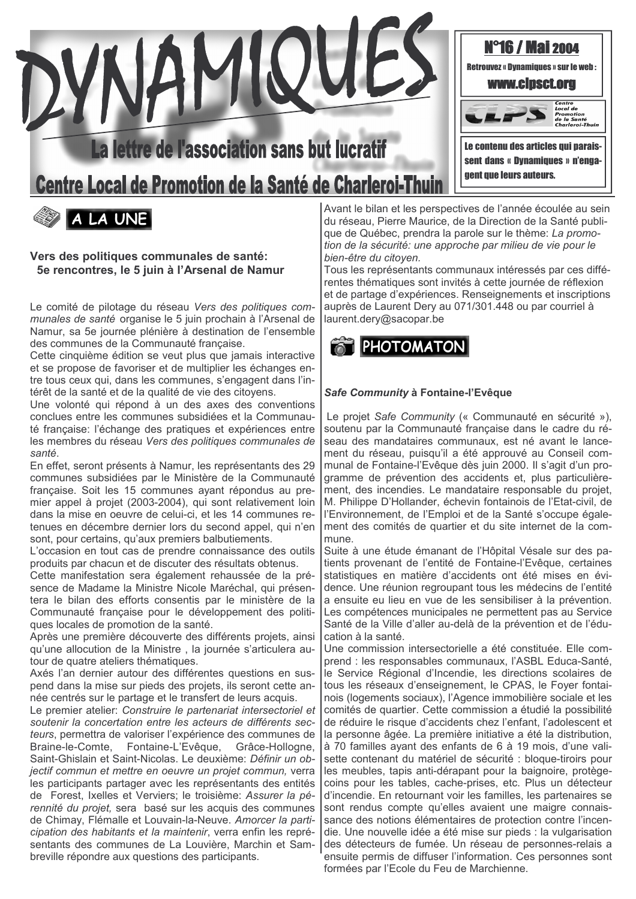

# lettre de l'association sans but lucratif

Centre Local de Promotion de la Santé de Charleroi-Thu



Vers des politiques communales de santé: 5e rencontres, le 5 juin à l'Arsenal de Namur

Le comité de pilotage du réseau Vers des politiques communales de santé organise le 5 juin prochain à l'Arsenal de Namur, sa 5e journée plénière à destination de l'ensemble des communes de la Communauté française.

Cette cinquième édition se veut plus que jamais interactive et se propose de favoriser et de multiplier les échanges entre tous ceux qui, dans les communes, s'engagent dans l'intérêt de la santé et de la qualité de vie des citovens.

Une volonté qui répond à un des axes des conventions conclues entre les communes subsidiées et la Communauté française: l'échange des pratiques et expériences entre les membres du réseau Vers des politiques communales de santé

En effet, seront présents à Namur, les représentants des 29 communes subsidiées par le Ministère de la Communauté française. Soit les 15 communes ayant répondus au premier appel à projet (2003-2004), qui sont relativement loin dans la mise en oeuvre de celui-ci, et les 14 communes retenues en décembre dernier lors du second appel, qui n'en sont, pour certains, qu'aux premiers balbutiements.

L'occasion en tout cas de prendre connaissance des outils produits par chacun et de discuter des résultats obtenus.

Cette manifestation sera également rehaussée de la présence de Madame la Ministre Nicole Maréchal, qui présentera le bilan des efforts consentis par le ministère de la Communauté française pour le développement des politiques locales de promotion de la santé.

Après une première découverte des différents projets, ainsi qu'une allocution de la Ministre, la journée s'articulera autour de quatre ateliers thématiques.

Axés l'an dernier autour des différentes questions en suspend dans la mise sur pieds des projets, ils seront cette année centrés sur le partage et le transfert de leurs acquis.

Le premier atelier: Construire le partenariat intersectoriel et soutenir la concertation entre les acteurs de différents secteurs, permettra de valoriser l'expérience des communes de Braine-le-Comte. Fontaine-L'Evêque. Grâce-Hollogne. Saint-Ghislain et Saint-Nicolas. Le deuxième: Définir un objectif commun et mettre en oeuvre un projet commun, verra les participants partager avec les représentants des entités de Forest, Ixelles et Verviers; le troisième: Assurer la pérennité du projet, sera basé sur les acquis des communes de Chimay, Flémalle et Louvain-la-Neuve. Amorcer la participation des habitants et la maintenir, verra enfin les représentants des communes de La Louvière, Marchin et Sambreville répondre aux questions des participants.

Avant le bilan et les perspectives de l'année écoulée au sein du réseau, Pierre Maurice, de la Direction de la Santé publique de Québec, prendra la parole sur le thème: La promotion de la sécurité: une approche par milieu de vie pour le bien-être du citoven.

Tous les représentants communaux intéressés par ces différentes thématiques sont invités à cette journée de réflexion et de partage d'expériences. Renseignements et inscriptions auprès de Laurent Dery au 071/301.448 ou par courriel à laurent.dery@sacopar.be



### Safe Community à Fontaine-l'Evêque

Le proiet Safe Community (« Communauté en sécurité »). soutenu par la Communauté française dans le cadre du réseau des mandataires communaux, est né avant le lancement du réseau, puisqu'il a été approuvé au Conseil communal de Fontaine-l'Evêque dès juin 2000. Il s'agit d'un programme de prévention des accidents et, plus particulièrement, des incendies. Le mandataire responsable du projet, M. Philippe D'Hollander, échevin fontainois de l'Etat-civil, de l'Environnement, de l'Emploi et de la Santé s'occupe également des comités de quartier et du site internet de la commune.

Suite à une étude émanant de l'Hôpital Vésale sur des patients provenant de l'entité de Fontaine-l'Evêque, certaines statistiques en matière d'accidents ont été mises en évidence. Une réunion regroupant tous les médecins de l'entité a ensuite eu lieu en vue de les sensibiliser à la prévention. Les compétences municipales ne permettent pas au Service Santé de la Ville d'aller au-delà de la prévention et de l'éducation à la santé.

Une commission intersectorielle a été constituée. Elle comprend : les responsables communaux. l'ASBL Educa-Santé. le Service Régional d'Incendie, les directions scolaires de tous les réseaux d'enseignement, le CPAS, le Foyer fontainois (logements sociaux), l'Agence immobilière sociale et les comités de quartier. Cette commission a étudié la possibilité de réduire le risque d'accidents chez l'enfant. l'adolescent et la personne âgée. La première initiative a été la distribution, à 70 familles avant des enfants de 6 à 19 mois, d'une valisette contenant du matériel de sécurité : bloque-tiroirs pour les meubles, tapis anti-dérapant pour la baignoire, protègecoins pour les tables, cache-prises, etc. Plus un détecteur d'incendie. En retournant voir les familles, les partenaires se sont rendus compte qu'elles avaient une maigre connaissance des notions élémentaires de protection contre l'incendie. Une nouvelle idée a été mise sur pieds : la vulgarisation des détecteurs de fumée. Un réseau de personnes-relais a ensuite permis de diffuser l'information. Ces personnes sont formées par l'Ecole du Feu de Marchienne.